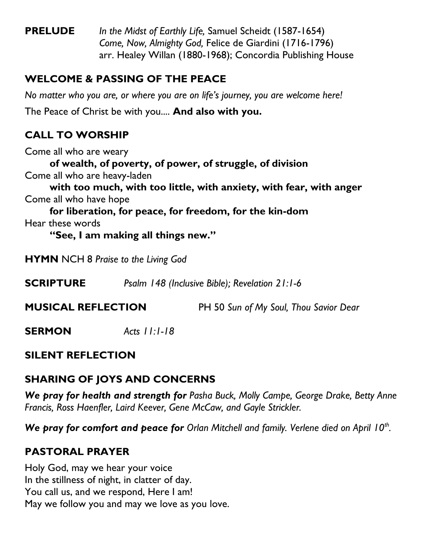**PRELUDE** *In the Midst of Earthly Life,* Samuel Scheidt (1587-1654) *Come, Now, Almighty God,* Felice de Giardini (1716-1796) arr. Healey Willan (1880-1968); Concordia Publishing House

### **WELCOME & PASSING OF THE PEACE**

*No matter who you are, or where you are on life's journey, you are welcome here!* The Peace of Christ be with you.... **And also with you.**

## **CALL TO WORSHIP**

Come all who are weary

**of wealth, of poverty, of power, of struggle, of division** Come all who are heavy-laden

**with too much, with too little, with anxiety, with fear, with anger** Come all who have hope

**for liberation, for peace, for freedom, for the kin-dom** Hear these words

**"See, I am making all things new."**

**HYMN** NCH 8 *Praise to the Living God*

**SCRIPTURE** *Psalm 148 (Inclusive Bible); Revelation 21:1-6*

**MUSICAL REFLECTION** PH 50 *Sun of My Soul, Thou Savior Dear*

**SERMON** *Acts 11:1-18*

### **SILENT REFLECTION**

## **SHARING OF JOYS AND CONCERNS**

*We pray for health and strength for Pasha Buck, Molly Campe, George Drake, Betty Anne Francis, Ross Haenfler, Laird Keever, Gene McCaw, and Gayle Strickler.*

*We pray for comfort and peace for Orlan Mitchell and family. Verlene died on April 10th .*

# **PASTORAL PRAYER**

Holy God, may we hear your voice In the stillness of night, in clatter of day. You call us, and we respond, Here I am! May we follow you and may we love as you love.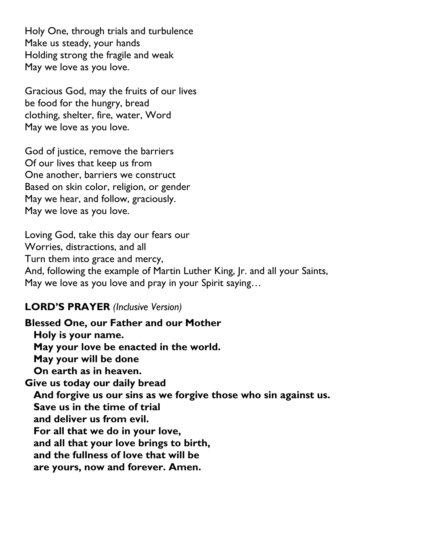Holy One, through trials and turbulence Make us steady, your hands Holding strong the fragile and weak May we love as you love.

Gracious God, may the fruits of our lives be food for the hungry, bread clothing, shelter, fire, water, Word May we love as you love.

God of justice, remove the barriers Of our lives that keep us from One another, barriers we construct Based on skin color, religion, or gender May we hear, and follow, graciously. May we love as you love.

Loving God, take this day our fears our Worries, distractions, and all Turn them into grace and mercy, And, following the example of Martin Luther King, Jr. and all your Saints, May we love as you love and pray in your Spirit saying…

#### **LORD'S PRAYER** *(Inclusive Version)*

**Blessed One, our Father and our Mother Holy is your name. May your love be enacted in the world. May your will be done On earth as in heaven. Give us today our daily bread And forgive us our sins as we forgive those who sin against us. Save us in the time of trial and deliver us from evil. For all that we do in your love, and all that your love brings to birth, and the fullness of love that will be are yours, now and forever. Amen.**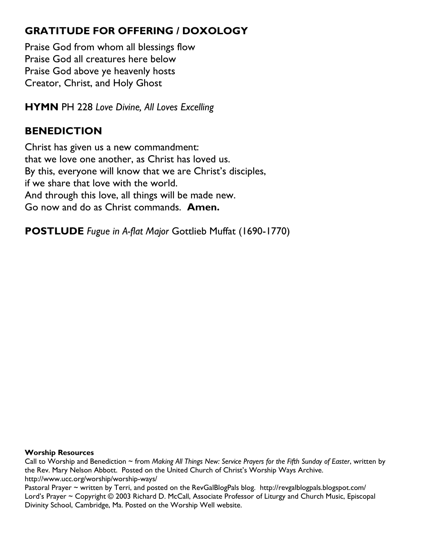## **GRATITUDE FOR OFFERING / DOXOLOGY**

Praise God from whom all blessings flow Praise God all creatures here below Praise God above ye heavenly hosts Creator, Christ, and Holy Ghost

**HYMN** PH 228 *Love Divine, All Loves Excelling*

# **BENEDICTION**

Christ has given us a new commandment: that we love one another, as Christ has loved us. By this, everyone will know that we are Christ's disciples, if we share that love with the world. And through this love, all things will be made new. Go now and do as Christ commands. **Amen.**

**POSTLUDE** *Fugue in A-flat Major* Gottlieb Muffat (1690-1770)

#### **Worship Resources**

Call to Worship and Benediction ~ from *Making All Things New: Service Prayers for the Fifth Sunday of Easter*, written by the Rev. Mary Nelson Abbott. Posted on the United Church of Christ's Worship Ways Archive. <http://www.ucc.org/worship/worship-ways/>

Pastoral Prayer ~ written by Terri, and posted on the RevGalBlogPals blog. <http://revgalblogpals.blogspot.com/> Lord's Prayer ~ Copyright © 2003 Richard D. McCall, Associate Professor of Liturgy and Church Music, Episcopal Divinity School, Cambridge, Ma. Posted on the [Worship Well](http://www.theworshipwell.org/pdf/WOR_McCall3.pdf) website.